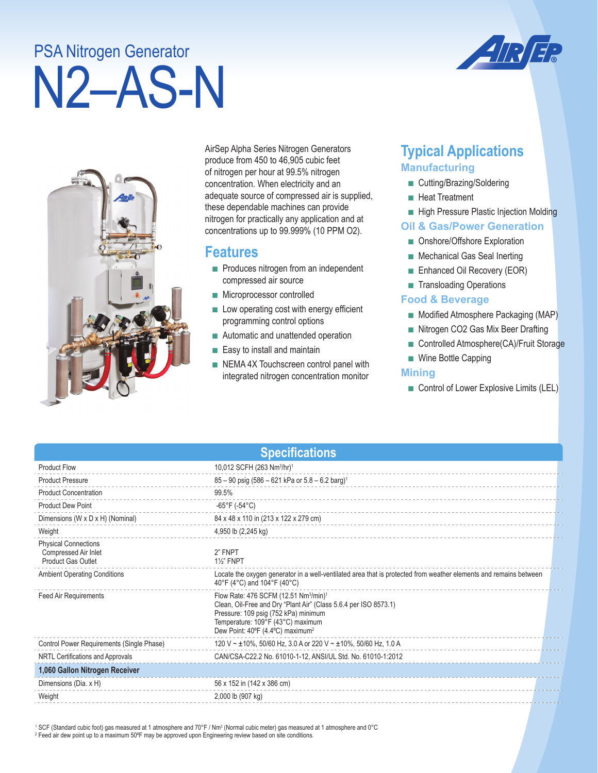# N2–AS-N PSA Nitrogen Generator





AirSep Alpha Series Nitrogen Generators produce from 450 to 46,905 cubic feet of nitrogen per hour at 99.5% nitrogen concentration. When electricity and an adequate source of compressed air is supplied, these dependable machines can provide nitrogen for practically any application and at concentrations up to 99.999% (10 PPM O2).

## **Features**

- Produces nitrogen from an independent compressed air source
- Microprocessor controlled
- Low operating cost with energy efficient programming control options
- Automatic and unattended operation
- Easy to install and maintain
- NEMA 4X Touchscreen control panel with integrated nitrogen concentration monitor

# **Typical Applications Manufacturing**

- Cutting/Brazing/Soldering
- Heat Treatment
- High Pressure Plastic Injection Molding

### **Oil & Gas/Power Generation**

- Onshore/Offshore Exploration
- Mechanical Gas Seal Inerting
- Enhanced Oil Recovery (EOR)
- Transloading Operations

### **Food & Beverage**

- Modified Atmosphere Packaging (MAP)
- Nitrogen CO2 Gas Mix Beer Drafting
- Controlled Atmosphere(CA)/Fruit Storage
- Wine Bottle Capping

### **Mining**

■ Control of Lower Explosive Limits (LEL)

| <b>Specifications</b>                                                            |                                                                                                                                                                                                                                                                |  |  |
|----------------------------------------------------------------------------------|----------------------------------------------------------------------------------------------------------------------------------------------------------------------------------------------------------------------------------------------------------------|--|--|
| <b>Product Flow</b>                                                              | 10,012 SCFH (263 Nm <sup>3</sup> /hr) <sup>1</sup>                                                                                                                                                                                                             |  |  |
| <b>Product Pressure</b>                                                          | $85 - 90$ psig (586 – 621 kPa or 5.8 – 6.2 barg) <sup>1</sup>                                                                                                                                                                                                  |  |  |
| <b>Product Concentration</b>                                                     | 99.5%                                                                                                                                                                                                                                                          |  |  |
| <b>Product Dew Point</b>                                                         | -65°F (-54°C)                                                                                                                                                                                                                                                  |  |  |
| Dimensions (W x D x H) (Nominal)                                                 | 84 x 48 x 110 in (213 x 122 x 279 cm)                                                                                                                                                                                                                          |  |  |
| Weight                                                                           | 4,950 lb (2,245 kg)                                                                                                                                                                                                                                            |  |  |
| <b>Physical Connections</b><br>Compressed Air Inlet<br><b>Product Gas Outlet</b> | 2" FNPT<br><b>1%" FNPT</b>                                                                                                                                                                                                                                     |  |  |
| <b>Ambient Operating Conditions</b>                                              | Locate the oxygen generator in a well-ventilated area that is protected from weather elements and remains between<br>40°F (4°C) and 104°F (40°C)                                                                                                               |  |  |
| <b>Feed Air Requirements</b>                                                     | Flow Rate: 476 SCFM (12.51 Nm <sup>3</sup> /min) <sup>1</sup><br>Clean, Oil-Free and Dry "Plant Air" (Class 5.6.4 per ISO 8573.1)<br>Pressure: 109 psig (752 kPa) minimum<br>Temperature: 109°F (43°C) maximum<br>Dew Point: 40°F (4.4°C) maximum <sup>2</sup> |  |  |
| Control Power Requirements (Single Phase)                                        | 120 V ~ ±10%, 50/60 Hz, 3.0 A or 220 V ~ ±10%, 50/60 Hz, 1.0 A                                                                                                                                                                                                 |  |  |
| NRTL Certifications and Approvals                                                | CAN/CSA-C22.2 No. 61010-1-12, ANSI/UL Std. No. 61010-1:2012                                                                                                                                                                                                    |  |  |
| 1,060 Gallon Nitrogen Receiver                                                   |                                                                                                                                                                                                                                                                |  |  |
| Dimensions (Dia. x H)                                                            | 56 x 152 in (142 x 386 cm)                                                                                                                                                                                                                                     |  |  |
| Weight                                                                           | 2,000 lb (907 kg)                                                                                                                                                                                                                                              |  |  |

 $^1$  SCF (Standard cubic foot) gas measured at 1 atmosphere and 70°F / Nm $^3$  (Normal cubic meter) gas measured at 1 atmosphere and 0°C 2 Feed air dew point up to a maximum 50ºF may be approved upon Engineering review based on site conditions.